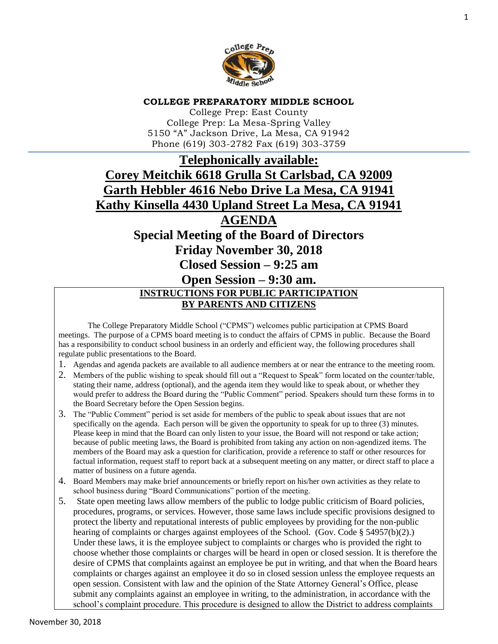

#### **COLLEGE PREPARATORY MIDDLE SCHOOL**

College Prep: East County College Prep: La Mesa-Spring Valley 5150 "A" Jackson Drive, La Mesa, CA 91942 Phone (619) 303-2782 Fax (619) 303-3759

# **Telephonically available: Corey Meitchik 6618 Grulla St Carlsbad, CA 92009 Garth Hebbler 4616 Nebo Drive La Mesa, CA 91941 Kathy Kinsella 4430 Upland Street La Mesa, CA 91941**

# **AGENDA**

**Special Meeting of the Board of Directors** 

**Friday November 30, 2018**

**Closed Session – 9:25 am**

# **Open Session – 9:30 am. INSTRUCTIONS FOR PUBLIC PARTICIPATION BY PARENTS AND CITIZENS**

The College Preparatory Middle School ("CPMS") welcomes public participation at CPMS Board meetings. The purpose of a CPMS board meeting is to conduct the affairs of CPMS in public. Because the Board has a responsibility to conduct school business in an orderly and efficient way, the following procedures shall regulate public presentations to the Board.

- 1. Agendas and agenda packets are available to all audience members at or near the entrance to the meeting room.
- 2. Members of the public wishing to speak should fill out a "Request to Speak" form located on the counter/table, stating their name, address (optional), and the agenda item they would like to speak about, or whether they would prefer to address the Board during the "Public Comment" period. Speakers should turn these forms in to the Board Secretary before the Open Session begins.
- 3. The "Public Comment" period is set aside for members of the public to speak about issues that are not specifically on the agenda. Each person will be given the opportunity to speak for up to three (3) minutes. Please keep in mind that the Board can only listen to your issue, the Board will not respond or take action; because of public meeting laws, the Board is prohibited from taking any action on non-agendized items. The members of the Board may ask a question for clarification, provide a reference to staff or other resources for factual information, request staff to report back at a subsequent meeting on any matter, or direct staff to place a matter of business on a future agenda.
- 4. Board Members may make brief announcements or briefly report on his/her own activities as they relate to school business during "Board Communications" portion of the meeting.
- 5. State open meeting laws allow members of the public to lodge public criticism of Board policies, procedures, programs, or services. However, those same laws include specific provisions designed to protect the liberty and reputational interests of public employees by providing for the non-public hearing of complaints or charges against employees of the School. (Gov. Code § 54957(b)(2).) Under these laws, it is the employee subject to complaints or charges who is provided the right to choose whether those complaints or charges will be heard in open or closed session. It is therefore the desire of CPMS that complaints against an employee be put in writing, and that when the Board hears complaints or charges against an employee it do so in closed session unless the employee requests an open session. Consistent with law and the opinion of the State Attorney General's Office, please submit any complaints against an employee in writing, to the administration, in accordance with the school's complaint procedure. This procedure is designed to allow the District to address complaints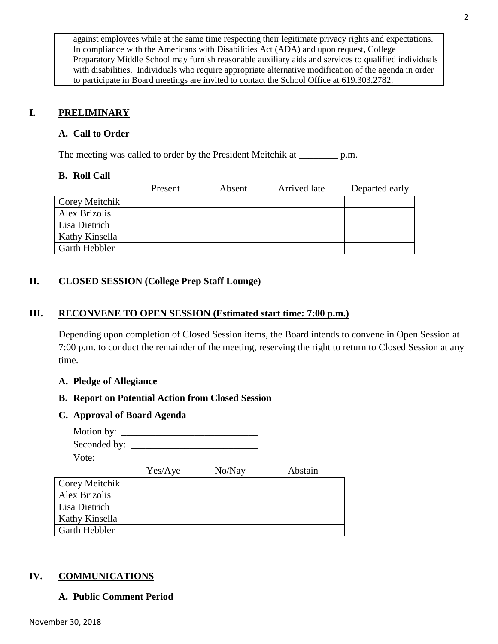against employees while at the same time respecting their legitimate privacy rights and expectations. In compliance with the Americans with Disabilities Act (ADA) and upon request, College Preparatory Middle School may furnish reasonable auxiliary aids and services to qualified individuals with disabilities. Individuals who require appropriate alternative modification of the agenda in order to participate in Board meetings are invited to contact the School Office at 619.303.2782.

# **I. PRELIMINARY**

### **A. Call to Order**

The meeting was called to order by the President Meitchik at \_\_\_\_\_\_\_\_ p.m.

#### **B. Roll Call**

|                      | Present | Absent | Arrived late | Departed early |
|----------------------|---------|--------|--------------|----------------|
| Corey Meitchik       |         |        |              |                |
| <b>Alex Brizolis</b> |         |        |              |                |
| Lisa Dietrich        |         |        |              |                |
| Kathy Kinsella       |         |        |              |                |
| Garth Hebbler        |         |        |              |                |

# **II. CLOSED SESSION (College Prep Staff Lounge)**

#### **III. RECONVENE TO OPEN SESSION (Estimated start time: 7:00 p.m.)**

Depending upon completion of Closed Session items, the Board intends to convene in Open Session at 7:00 p.m. to conduct the remainder of the meeting, reserving the right to return to Closed Session at any time.

#### **A. Pledge of Allegiance**

#### **B. Report on Potential Action from Closed Session**

#### **C. Approval of Board Agenda**

Motion by:  $\frac{1}{2}$ Seconded by: \_\_\_\_\_\_\_\_\_\_\_\_\_\_\_\_\_\_\_\_\_\_\_\_\_\_ Vote:

|                | Yes/Aye | No/Nay | Abstain |
|----------------|---------|--------|---------|
| Corey Meitchik |         |        |         |
| Alex Brizolis  |         |        |         |
| Lisa Dietrich  |         |        |         |
| Kathy Kinsella |         |        |         |
| Garth Hebbler  |         |        |         |

#### **IV. COMMUNICATIONS**

# **A. Public Comment Period**